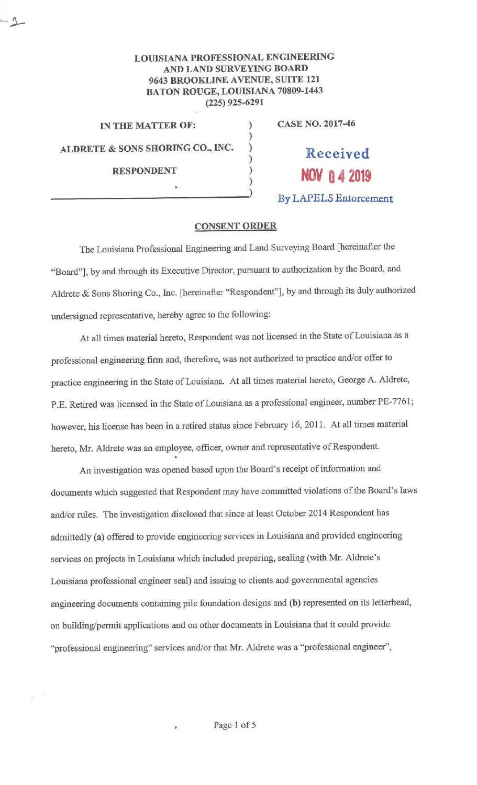## **LOUISIANA PROFESSIONAL ENGINEERING AND LAND SURVEYING BOARD 9643 BROOKLINE A VENUE, SUITE 121 BATON ROUGE, LOUISIANA 70809-1443 (225) 925-6291**

) ) ) ) ) )

**IN THE MATTER OF: ALDRETE & SONS SHORING CO., INC. RESPONDENT** 

 $-1$ 

**CASE NO. 2017-46** 

**Received NOV** 0 4 2019

**By LAPELS En1orcement** 

## **CONSENT ORDER**

The Louisiana Professional Engineering and Land Surveying Board [hereinafter the "Board"], by and through its Executive Director, pursuant to authorization by the Board, and Aldrete & Sons Shoring Co., Inc. [hereinafter "Respondent"], by and through its duly authorized undersigned representative, hereby agree to the following:

At all times material hereto, Respondent was not licensed in the State of Louisiana as a professional engineering firm and, therefore, was not authorized to practice and/or offer to practice engineering in the State of Louisiana. At all times material hereto, George A. Aldrete, P.E. Retired was licensed in the State of Louisiana as a professional engineer, number PE-7761; however, his license has been in a retired status since February 16, 2011. At all times material hereto, Mr. Aldrete was an employee, officer, owner and representative of Respondent.

An investigation was opened based upon the Board's receipt of information and documents which suggested that Respondent may have committed violations of the Board's laws and/or rules. The investigation disclosed that since at least October 2014 Respondent has admittedly **(a)** offered to provide engineering services in Louisiana and provided engineering services on projects in Louisiana which included preparing, sealing (with Mr. Aldrete's Louisiana professional engineer seal) and issuing to clients and governmental agencies engineering documents containing pile foundation designs and **(b)** represented on its letterhead, on building/permit applications and on other documents in Louisiana that it could provide "professional engineering" services and/or that Mr. Aldrete was a "professional engineer",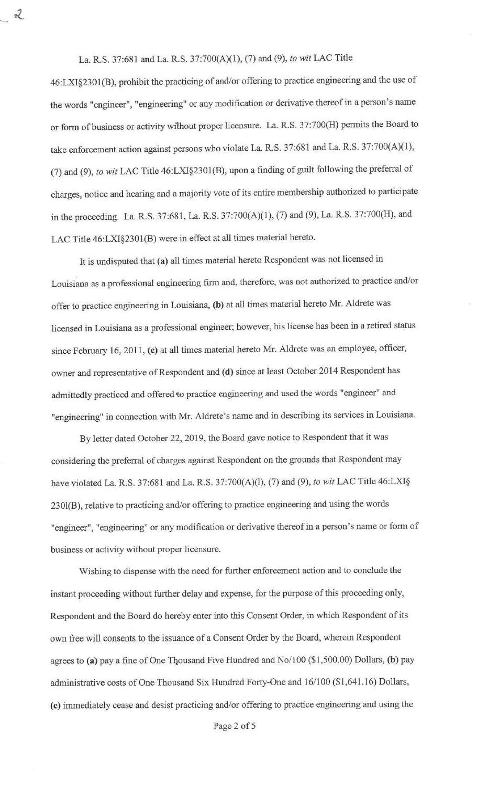La. R.S. 37:681 and La. R.S. 37:700(A)(l), (7) and (9), *to wit* LAC Title

 $\mathcal{Z}$ 

46:LXI§230l(B), prohibit the practicing of and/or offering to practice engineering and the use of the words "engineer", "engineering" or any modification or derivative thereof in a person's name or form of business or activity without proper licensure. La. R.S. 37:700(H) permits the Board to take enforcement action against persons who violate La. R:S. 37:681 and La. R.S. 37:700(A)(l), (7) and (9), *to wit* LAC Title 46:LXl§2301(B), upon a finding of guilt following the preferral of charges, notice and hearing and a majority vote of its entire membership authorized to participate in the proceeding. La. R.S. 37:681, La. R.S. 37:700(A)(l), (7) and (9), La. R.S. 37:700(H), and LAC Title 46:LXI§2301(B) were in effect at all times material hereto.

It is undisputed that **(a)** all times material hereto Respondent was not licensed in Louisiana as a professional engineering firm and, therefore, was not authorized to practice and/or offer to practice engineering in Louisiana, **(b)** at all times material hereto Mr. Aldrete was licensed in Louisiana as a professional engineer; however, his license has been in a retired status since February 16, 2011, (c) at all times material hereto Mr. Aldrete was an employee, officer, owner and representative of Respondent and **(d)** since at least October 2014 Respondent has admittedly practiced and offered 'to practice engineering and used the words "engineer" and "engineering" in connection with Mr. Aldrete's name and in describing its services in Louisiana.

By letter dated October 22, 2019, the Board gave notice to Respondent that it was considering the preferral of charges against Respondent on the grounds that Respondent may have violated La. R.S. 37:681 and La. R.S. 37:700(A)(l), (7) and (9), *to wit* LAC Title 46:LXI§ 230l(B), relative to practicing and/or offering to practice engineering and using the words "engineer", "engineering" or any modification or derivative thereof in a person's name or form of business or activity without proper licensure.

Wishing to dispense with the need for further enforcement action and to conclude the instant proceeding without further delay and expense, for the purpose of this proceeding only, Respondent and the Board do hereby enter into this Consent Order, in which Respondent of its own free will consents to the issuance of a Consent Order by the Board, wherein Respondent agrees to **(a)** pay a fine of One Tqousand Five Hundred and No/100 (\$1,500.00) Dollars, **(b)** pay administrative costs of One Thousand Six Hundred Forty-One and 16/100 (\$1,641.16) Dollars, **(c)** immediately cease and desist practicing and/or offering to practice engineering and using the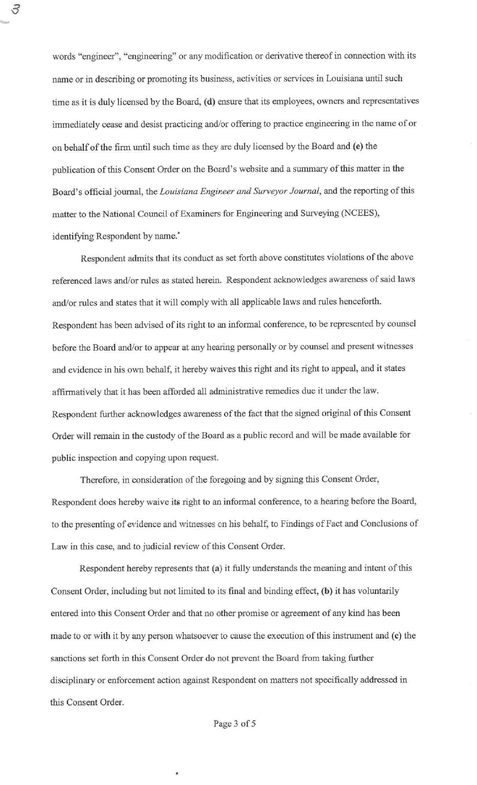words "engineer", "engineering" or any modification or derivative thereof in connection with its name or in describing or promoting its business, activities or services in Louisiana until such time as it is duly licensed by the Board, (d) ensure that its employees, owners and representatives immediately cease and desist practicing and/or offering to practice engineering in the name of or on behalf of the firm until such time as they are duly licensed by the Board and (e) the publication of this Consent Order on the Board's website and a summary of this matter in the Board's official journal, the *Louisiana Engineer and Surveyor Journal,* and the reporting of this matter to the National Council of Examiners for Engineering and Surveying (NCEES), identifying Respondent by name.<sup>\*</sup>

 $\mathcal S$ 

Respondent admits that its conduct as set forth above constitutes violations of the above referenced laws and/or rules as stated herein. Respondent acknowledges awareness of said laws and/or rules and states that it will comply with all applicable laws and rules henceforth. Respondent has been advised of its right to an informal conference, to be represented by counsel before the Board and/or to appear at any hearing personally or by counsel and present witnesses and evidence in his own behalf, it hereby waives this right and its right to appeal, and it states affirmatively that it has been afforded all administrative remedies due it under the law. Respondent further acknowledges awareness of the fact that the signed original of this Consent Order will remain in the custody of the Board as a public record and will be made available for public inspection and copying upon request.

Therefore, in consideration of the foregoing and by signing this Consent Order, Respondent does hereby waive its right to an informal conference, to a hearing before the Board, to the presenting of evidence and witnesses on his behalf, to Findings of Fact and Conclusions of Law in this case, and to judicial review of this Consent Order.

Respondent hereby represents that **(a)** it fully understands the meaning and intent of this Consent Order, including but not limited to its final and binding effect, **(b)** it has voluntarily entered into this Consent Order and that no other promise or agreement of any kind has been made to or with it by any person whatsoever to cause the execution of this instrument and (c) the sanctions set forth in this Consent Order do not prevent the Board from taking further disciplinary or enforcement action against Respondent on matters not specifically addressed in this Consent Order.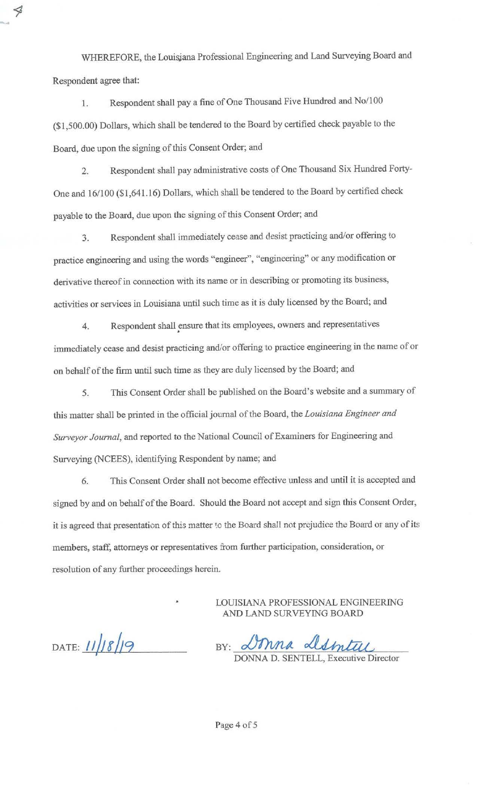WHEREFORE, the Louisjana Professional Engineering and Land Surveying Board and Respondent agree that:

ℐ

1. Respondent shall pay a fine of One Thousand Five Hundred and No/100 (\$1,500.00) Dollars, which shall be tendered to the Board by certified check payable to the Board, due upon the signing of this Consent Order; and

2. Respondent shall pay administrative costs of One Thousand Six Hundred Forty-One and 16/100 (\$1,641.16) Dollars, which shall be tendered to the Board by certified check payable to the Board, due upon the signing of this Consent Order; and

3. Respondent shall immediately cease and desist practicing and/or offering to practice engineering and using the words "engineer", "engineering" or any modification or derivative thereof in connection with its name or in describing or promoting its business, activities or services in Louisiana until such time as it is duly licensed by the Board; and

4. Respondent shall ensure that its employees, owners and representatives . immediately cease and desist practicing and/or offering to practice engineering in the name of or on behalf of the firm until such time as they are duly licensed by the Board; and

5. This Consent Order shall be published on the Board's website and a summary of this matter shall be printed in the official journal of the Board, the *Louisiana Engineer and Surveyor Journal,* and reported to the National Council of Examiners for Engineering and Surveying (NCEES), identifying Respondent by name; and

6. This Consent Order shall not become effective unless and until it is accepted and signed by and on behalf of the Board. Should the Board not accept and sign this Consent Order, it is agreed that presentation of this matter to the Board shall not prejudice the Board or any of its members, staff, attorneys or representatives from further participation, consideration, or resolution of any further proceedings herein.

DATE:  $11/18/9$ 

1.<br>LOUISIANA PROFESSIONAL ENGINEERING<br>AND LAND SURVEYING BOARD<br>BY: JONNA D. SENTELL, Executive Director

LOUISIANA PROFESSIONAL ENGINEERING

AND LAND SURVEYING BOARD

DONNA D. SENTELL, Executive Director